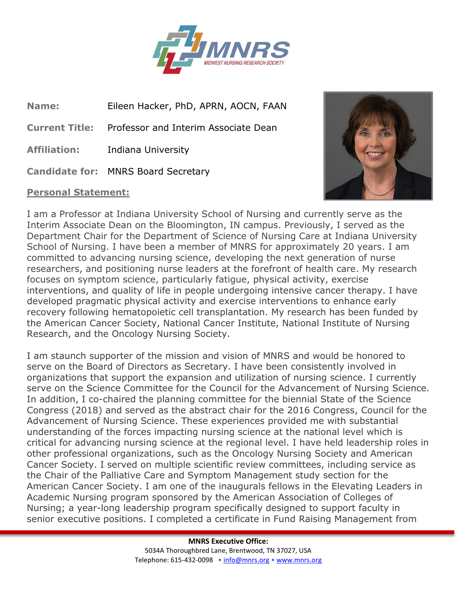

**Name:** Eileen Hacker, PhD, APRN, AOCN, FAAN

**Current Title:** Professor and Interim Associate Dean

**Affiliation:** Indiana University

**Candidate for:** MNRS Board Secretary

## **Personal Statement:**



I am a Professor at Indiana University School of Nursing and currently serve as the Interim Associate Dean on the Bloomington, IN campus. Previously, I served as the Department Chair for the Department of Science of Nursing Care at Indiana University School of Nursing. I have been a member of MNRS for approximately 20 years. I am committed to advancing nursing science, developing the next generation of nurse researchers, and positioning nurse leaders at the forefront of health care. My research focuses on symptom science, particularly fatigue, physical activity, exercise interventions, and quality of life in people undergoing intensive cancer therapy. I have developed pragmatic physical activity and exercise interventions to enhance early recovery following hematopoietic cell transplantation. My research has been funded by the American Cancer Society, National Cancer Institute, National Institute of Nursing Research, and the Oncology Nursing Society.

I am staunch supporter of the mission and vision of MNRS and would be honored to serve on the Board of Directors as Secretary. I have been consistently involved in organizations that support the expansion and utilization of nursing science. I currently serve on the Science Committee for the Council for the Advancement of Nursing Science. In addition, I co-chaired the planning committee for the biennial State of the Science Congress (2018) and served as the abstract chair for the 2016 Congress, Council for the Advancement of Nursing Science. These experiences provided me with substantial understanding of the forces impacting nursing science at the national level which is critical for advancing nursing science at the regional level. I have held leadership roles in other professional organizations, such as the Oncology Nursing Society and American Cancer Society. I served on multiple scientific review committees, including service as the Chair of the Palliative Care and Symptom Management study section for the American Cancer Society. I am one of the inaugurals fellows in the Elevating Leaders in Academic Nursing program sponsored by the American Association of Colleges of Nursing; a year-long leadership program specifically designed to support faculty in senior executive positions. I completed a certificate in Fund Raising Management from